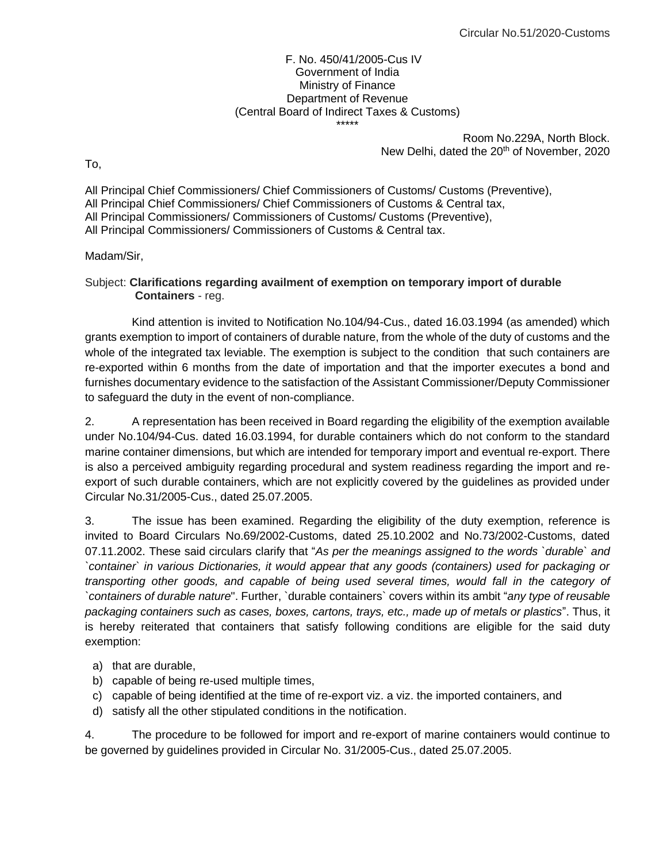## F. No. 450/41/2005-Cus IV Government of India Ministry of Finance Department of Revenue (Central Board of Indirect Taxes & Customs) \*\*\*\*\*

Room No.229A, North Block. New Delhi, dated the 20<sup>th</sup> of November, 2020

To,

All Principal Chief Commissioners/ Chief Commissioners of Customs/ Customs (Preventive), All Principal Chief Commissioners/ Chief Commissioners of Customs & Central tax, All Principal Commissioners/ Commissioners of Customs/ Customs (Preventive), All Principal Commissioners/ Commissioners of Customs & Central tax.

## Madam/Sir,

## Subject: **Clarifications regarding availment of exemption on temporary import of durable Containers** - reg.

Kind attention is invited to Notification No.104/94-Cus., dated 16.03.1994 (as amended) which grants exemption to import of containers of durable nature, from the whole of the duty of customs and the whole of the integrated tax leviable. The exemption is subject to the condition that such containers are re-exported within 6 months from the date of importation and that the importer executes a bond and furnishes documentary evidence to the satisfaction of the Assistant Commissioner/Deputy Commissioner to safeguard the duty in the event of non-compliance.

2. A representation has been received in Board regarding the eligibility of the exemption available under No.104/94-Cus. dated 16.03.1994, for durable containers which do not conform to the standard marine container dimensions, but which are intended for temporary import and eventual re-export. There is also a perceived ambiguity regarding procedural and system readiness regarding the import and reexport of such durable containers, which are not explicitly covered by the guidelines as provided under Circular No.31/2005-Cus., dated 25.07.2005.

3. The issue has been examined. Regarding the eligibility of the duty exemption, reference is invited to Board Circulars No.69/2002-Customs, dated 25.10.2002 and No.73/2002-Customs, dated 07.11.2002. These said circulars clarify that "*As per the meanings assigned to the words `durable` and `container` in various Dictionaries, it would appear that any goods (containers) used for packaging or transporting other goods, and capable of being used several times, would fall in the category of `containers of durable nature*". Further, `durable containers` covers within its ambit "*any type of reusable packaging containers such as cases, boxes, cartons, trays, etc., made up of metals or plastics*". Thus, it is hereby reiterated that containers that satisfy following conditions are eligible for the said duty exemption:

- a) that are durable,
- b) capable of being re-used multiple times,
- c) capable of being identified at the time of re-export viz. a viz. the imported containers, and
- d) satisfy all the other stipulated conditions in the notification.

4. The procedure to be followed for import and re-export of marine containers would continue to be governed by guidelines provided in Circular No. 31/2005-Cus., dated 25.07.2005.